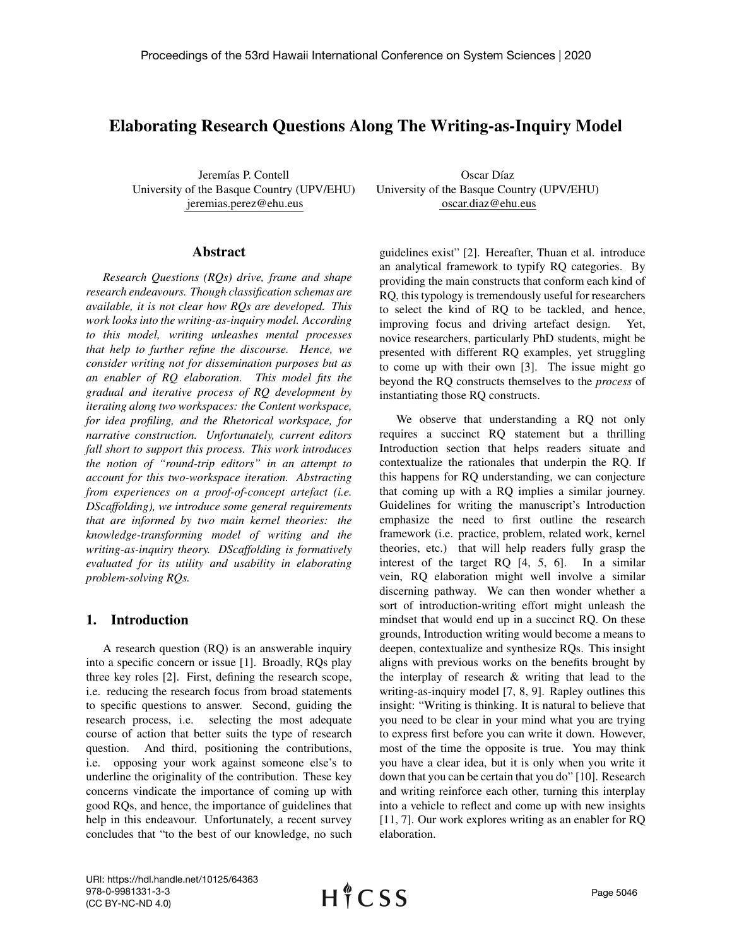# Elaborating Research Questions Along The Writing-as-Inquiry Model

Jeremías P. Contell University of the Basque Country (UPV/EHU) jeremias.perez@ehu.eus

#### Abstract

*Research Questions (RQs) drive, frame and shape research endeavours. Though classification schemas are available, it is not clear how RQs are developed. This work looks into the writing-as-inquiry model. According to this model, writing unleashes mental processes that help to further refine the discourse. Hence, we consider writing not for dissemination purposes but as an enabler of RQ elaboration. This model fits the gradual and iterative process of RQ development by iterating along two workspaces: the Content workspace, for idea profiling, and the Rhetorical workspace, for narrative construction. Unfortunately, current editors fall short to support this process. This work introduces the notion of "round-trip editors" in an attempt to account for this two-workspace iteration. Abstracting from experiences on a proof-of-concept artefact (i.e. DScaffolding), we introduce some general requirements that are informed by two main kernel theories: the knowledge-transforming model of writing and the writing-as-inquiry theory. DScaffolding is formatively evaluated for its utility and usability in elaborating problem-solving RQs.*

#### 1. Introduction

A research question (RQ) is an answerable inquiry into a specific concern or issue [1]. Broadly, RQs play three key roles [2]. First, defining the research scope, i.e. reducing the research focus from broad statements to specific questions to answer. Second, guiding the research process, i.e. selecting the most adequate course of action that better suits the type of research question. And third, positioning the contributions, i.e. opposing your work against someone else's to underline the originality of the contribution. These key concerns vindicate the importance of coming up with good RQs, and hence, the importance of guidelines that help in this endeavour. Unfortunately, a recent survey concludes that "to the best of our knowledge, no such

Oscar Díaz University of the Basque Country (UPV/EHU) oscar.diaz@ehu.eus

guidelines exist" [2]. Hereafter, Thuan et al. introduce an analytical framework to typify RQ categories. By providing the main constructs that conform each kind of RQ, this typology is tremendously useful for researchers to select the kind of RQ to be tackled, and hence, improving focus and driving artefact design. Yet, novice researchers, particularly PhD students, might be presented with different RQ examples, yet struggling to come up with their own [3]. The issue might go beyond the RQ constructs themselves to the *process* of instantiating those RQ constructs.

We observe that understanding a RQ not only requires a succinct RQ statement but a thrilling Introduction section that helps readers situate and contextualize the rationales that underpin the RQ. If this happens for RQ understanding, we can conjecture that coming up with a RQ implies a similar journey. Guidelines for writing the manuscript's Introduction emphasize the need to first outline the research framework (i.e. practice, problem, related work, kernel theories, etc.) that will help readers fully grasp the interest of the target RQ [4, 5, 6]. In a similar vein, RQ elaboration might well involve a similar discerning pathway. We can then wonder whether a sort of introduction-writing effort might unleash the mindset that would end up in a succinct RQ. On these grounds, Introduction writing would become a means to deepen, contextualize and synthesize RQs. This insight aligns with previous works on the benefits brought by the interplay of research & writing that lead to the writing-as-inquiry model [7, 8, 9]. Rapley outlines this insight: "Writing is thinking. It is natural to believe that you need to be clear in your mind what you are trying to express first before you can write it down. However, most of the time the opposite is true. You may think you have a clear idea, but it is only when you write it down that you can be certain that you do" [10]. Research and writing reinforce each other, turning this interplay into a vehicle to reflect and come up with new insights [11, 7]. Our work explores writing as an enabler for RQ elaboration.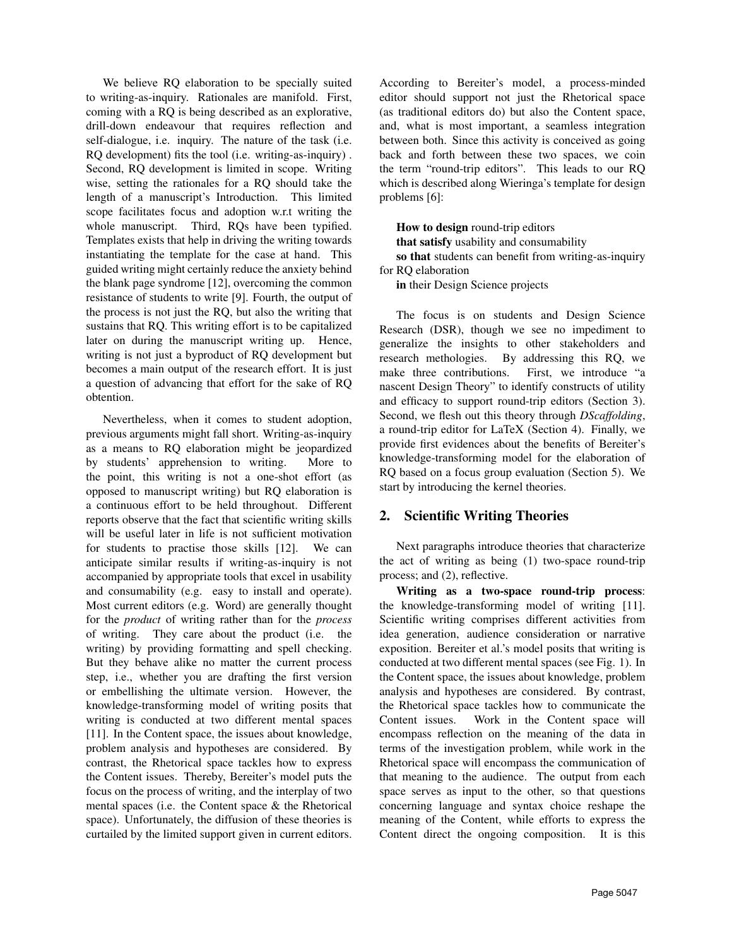We believe RQ elaboration to be specially suited to writing-as-inquiry. Rationales are manifold. First, coming with a RQ is being described as an explorative, drill-down endeavour that requires reflection and self-dialogue, i.e. inquiry. The nature of the task (i.e. RQ development) fits the tool (i.e. writing-as-inquiry) . Second, RQ development is limited in scope. Writing wise, setting the rationales for a RQ should take the length of a manuscript's Introduction. This limited scope facilitates focus and adoption w.r.t writing the whole manuscript. Third, RQs have been typified. Templates exists that help in driving the writing towards instantiating the template for the case at hand. This guided writing might certainly reduce the anxiety behind the blank page syndrome [12], overcoming the common resistance of students to write [9]. Fourth, the output of the process is not just the RQ, but also the writing that sustains that RQ. This writing effort is to be capitalized later on during the manuscript writing up. Hence, writing is not just a byproduct of RQ development but becomes a main output of the research effort. It is just a question of advancing that effort for the sake of RQ obtention.

Nevertheless, when it comes to student adoption, previous arguments might fall short. Writing-as-inquiry as a means to RQ elaboration might be jeopardized by students' apprehension to writing. More to the point, this writing is not a one-shot effort (as opposed to manuscript writing) but RQ elaboration is a continuous effort to be held throughout. Different reports observe that the fact that scientific writing skills will be useful later in life is not sufficient motivation for students to practise those skills [12]. We can anticipate similar results if writing-as-inquiry is not accompanied by appropriate tools that excel in usability and consumability (e.g. easy to install and operate). Most current editors (e.g. Word) are generally thought for the *product* of writing rather than for the *process* of writing. They care about the product (i.e. the writing) by providing formatting and spell checking. But they behave alike no matter the current process step, i.e., whether you are drafting the first version or embellishing the ultimate version. However, the knowledge-transforming model of writing posits that writing is conducted at two different mental spaces [11]. In the Content space, the issues about knowledge, problem analysis and hypotheses are considered. By contrast, the Rhetorical space tackles how to express the Content issues. Thereby, Bereiter's model puts the focus on the process of writing, and the interplay of two mental spaces (i.e. the Content space & the Rhetorical space). Unfortunately, the diffusion of these theories is curtailed by the limited support given in current editors. According to Bereiter's model, a process-minded editor should support not just the Rhetorical space (as traditional editors do) but also the Content space, and, what is most important, a seamless integration between both. Since this activity is conceived as going back and forth between these two spaces, we coin the term "round-trip editors". This leads to our RQ which is described along Wieringa's template for design problems [6]:

How to design round-trip editors that satisfy usability and consumability so that students can benefit from writing-as-inquiry for RQ elaboration

in their Design Science projects

The focus is on students and Design Science Research (DSR), though we see no impediment to generalize the insights to other stakeholders and research methologies. By addressing this RQ, we make three contributions. First, we introduce "a nascent Design Theory" to identify constructs of utility and efficacy to support round-trip editors (Section 3). Second, we flesh out this theory through *DScaffolding*, a round-trip editor for LaTeX (Section 4). Finally, we provide first evidences about the benefits of Bereiter's knowledge-transforming model for the elaboration of RQ based on a focus group evaluation (Section 5). We start by introducing the kernel theories.

# 2. Scientific Writing Theories

Next paragraphs introduce theories that characterize the act of writing as being (1) two-space round-trip process; and (2), reflective.

Writing as a two-space round-trip process: the knowledge-transforming model of writing [11]. Scientific writing comprises different activities from idea generation, audience consideration or narrative exposition. Bereiter et al.'s model posits that writing is conducted at two different mental spaces (see Fig. 1). In the Content space, the issues about knowledge, problem analysis and hypotheses are considered. By contrast, the Rhetorical space tackles how to communicate the Content issues. Work in the Content space will encompass reflection on the meaning of the data in terms of the investigation problem, while work in the Rhetorical space will encompass the communication of that meaning to the audience. The output from each space serves as input to the other, so that questions concerning language and syntax choice reshape the meaning of the Content, while efforts to express the Content direct the ongoing composition. It is this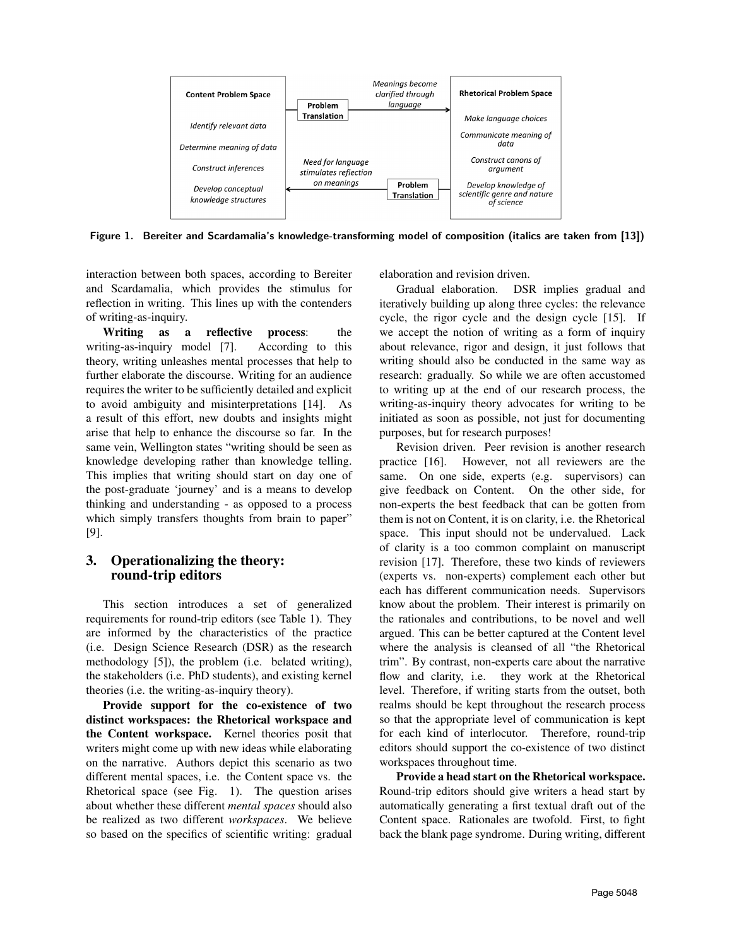

Figure 1. Bereiter and Scardamalia's knowledge-transforming model of composition (italics are taken from [13])

interaction between both spaces, according to Bereiter and Scardamalia, which provides the stimulus for reflection in writing. This lines up with the contenders of writing-as-inquiry.

Writing as a reflective process: the writing-as-inquiry model [7]. According to this theory, writing unleashes mental processes that help to further elaborate the discourse. Writing for an audience requires the writer to be sufficiently detailed and explicit to avoid ambiguity and misinterpretations [14]. As a result of this effort, new doubts and insights might arise that help to enhance the discourse so far. In the same vein, Wellington states "writing should be seen as knowledge developing rather than knowledge telling. This implies that writing should start on day one of the post-graduate 'journey' and is a means to develop thinking and understanding - as opposed to a process which simply transfers thoughts from brain to paper" [9].

# 3. Operationalizing the theory: round-trip editors

This section introduces a set of generalized requirements for round-trip editors (see Table 1). They are informed by the characteristics of the practice (i.e. Design Science Research (DSR) as the research methodology [5]), the problem (i.e. belated writing), the stakeholders (i.e. PhD students), and existing kernel theories (i.e. the writing-as-inquiry theory).

Provide support for the co-existence of two distinct workspaces: the Rhetorical workspace and the Content workspace. Kernel theories posit that writers might come up with new ideas while elaborating on the narrative. Authors depict this scenario as two different mental spaces, i.e. the Content space vs. the Rhetorical space (see Fig. 1). The question arises about whether these different *mental spaces* should also be realized as two different *workspaces*. We believe so based on the specifics of scientific writing: gradual elaboration and revision driven.

Gradual elaboration. DSR implies gradual and iteratively building up along three cycles: the relevance cycle, the rigor cycle and the design cycle [15]. If we accept the notion of writing as a form of inquiry about relevance, rigor and design, it just follows that writing should also be conducted in the same way as research: gradually. So while we are often accustomed to writing up at the end of our research process, the writing-as-inquiry theory advocates for writing to be initiated as soon as possible, not just for documenting purposes, but for research purposes!

Revision driven. Peer revision is another research practice [16]. However, not all reviewers are the same. On one side, experts (e.g. supervisors) can give feedback on Content. On the other side, for non-experts the best feedback that can be gotten from them is not on Content, it is on clarity, i.e. the Rhetorical space. This input should not be undervalued. Lack of clarity is a too common complaint on manuscript revision [17]. Therefore, these two kinds of reviewers (experts vs. non-experts) complement each other but each has different communication needs. Supervisors know about the problem. Their interest is primarily on the rationales and contributions, to be novel and well argued. This can be better captured at the Content level where the analysis is cleansed of all "the Rhetorical trim". By contrast, non-experts care about the narrative flow and clarity, i.e. they work at the Rhetorical level. Therefore, if writing starts from the outset, both realms should be kept throughout the research process so that the appropriate level of communication is kept for each kind of interlocutor. Therefore, round-trip editors should support the co-existence of two distinct workspaces throughout time.

Provide a head start on the Rhetorical workspace. Round-trip editors should give writers a head start by automatically generating a first textual draft out of the Content space. Rationales are twofold. First, to fight back the blank page syndrome. During writing, different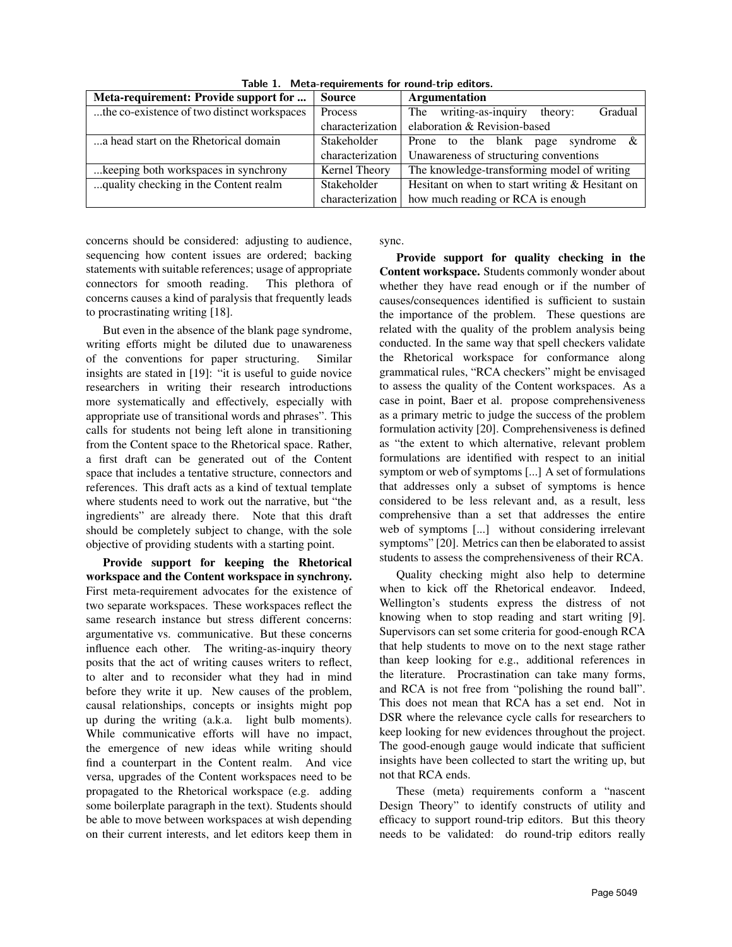| Meta-requirement: Provide support for       | <b>Source</b>    | Argumentation                                          |  |  |
|---------------------------------------------|------------------|--------------------------------------------------------|--|--|
| the co-existence of two distinct workspaces | Process          | Gradual<br>writing-as-inquiry<br>theory:<br><b>The</b> |  |  |
|                                             | characterization | elaboration & Revision-based                           |  |  |
| a head start on the Rhetorical domain       | Stakeholder      | &<br>Prone to the blank page syndrome                  |  |  |
|                                             | characterization | Unawareness of structuring conventions                 |  |  |
| keeping both workspaces in synchrony.       | Kernel Theory    | The knowledge-transforming model of writing            |  |  |
| quality checking in the Content realm.      | Stakeholder      | Hesitant on when to start writing $&$ Hesitant on      |  |  |
|                                             | characterization | how much reading or RCA is enough                      |  |  |

Table 1. Meta-requirements for round-trip editors.

concerns should be considered: adjusting to audience, sequencing how content issues are ordered; backing statements with suitable references; usage of appropriate connectors for smooth reading. This plethora of concerns causes a kind of paralysis that frequently leads to procrastinating writing [18].

But even in the absence of the blank page syndrome, writing efforts might be diluted due to unawareness of the conventions for paper structuring. Similar insights are stated in [19]: "it is useful to guide novice researchers in writing their research introductions more systematically and effectively, especially with appropriate use of transitional words and phrases". This calls for students not being left alone in transitioning from the Content space to the Rhetorical space. Rather, a first draft can be generated out of the Content space that includes a tentative structure, connectors and references. This draft acts as a kind of textual template where students need to work out the narrative, but "the ingredients" are already there. Note that this draft should be completely subject to change, with the sole objective of providing students with a starting point.

Provide support for keeping the Rhetorical workspace and the Content workspace in synchrony. First meta-requirement advocates for the existence of two separate workspaces. These workspaces reflect the same research instance but stress different concerns: argumentative vs. communicative. But these concerns influence each other. The writing-as-inquiry theory posits that the act of writing causes writers to reflect, to alter and to reconsider what they had in mind before they write it up. New causes of the problem, causal relationships, concepts or insights might pop up during the writing (a.k.a. light bulb moments). While communicative efforts will have no impact, the emergence of new ideas while writing should find a counterpart in the Content realm. And vice versa, upgrades of the Content workspaces need to be propagated to the Rhetorical workspace (e.g. adding some boilerplate paragraph in the text). Students should be able to move between workspaces at wish depending on their current interests, and let editors keep them in sync.

Provide support for quality checking in the Content workspace. Students commonly wonder about whether they have read enough or if the number of causes/consequences identified is sufficient to sustain the importance of the problem. These questions are related with the quality of the problem analysis being conducted. In the same way that spell checkers validate the Rhetorical workspace for conformance along grammatical rules, "RCA checkers" might be envisaged to assess the quality of the Content workspaces. As a case in point, Baer et al. propose comprehensiveness as a primary metric to judge the success of the problem formulation activity [20]. Comprehensiveness is defined as "the extent to which alternative, relevant problem formulations are identified with respect to an initial symptom or web of symptoms [...] A set of formulations that addresses only a subset of symptoms is hence considered to be less relevant and, as a result, less comprehensive than a set that addresses the entire web of symptoms [...] without considering irrelevant symptoms" [20]. Metrics can then be elaborated to assist students to assess the comprehensiveness of their RCA.

Quality checking might also help to determine when to kick off the Rhetorical endeavor. Indeed, Wellington's students express the distress of not knowing when to stop reading and start writing [9]. Supervisors can set some criteria for good-enough RCA that help students to move on to the next stage rather than keep looking for e.g., additional references in the literature. Procrastination can take many forms, and RCA is not free from "polishing the round ball". This does not mean that RCA has a set end. Not in DSR where the relevance cycle calls for researchers to keep looking for new evidences throughout the project. The good-enough gauge would indicate that sufficient insights have been collected to start the writing up, but not that RCA ends.

These (meta) requirements conform a "nascent Design Theory" to identify constructs of utility and efficacy to support round-trip editors. But this theory needs to be validated: do round-trip editors really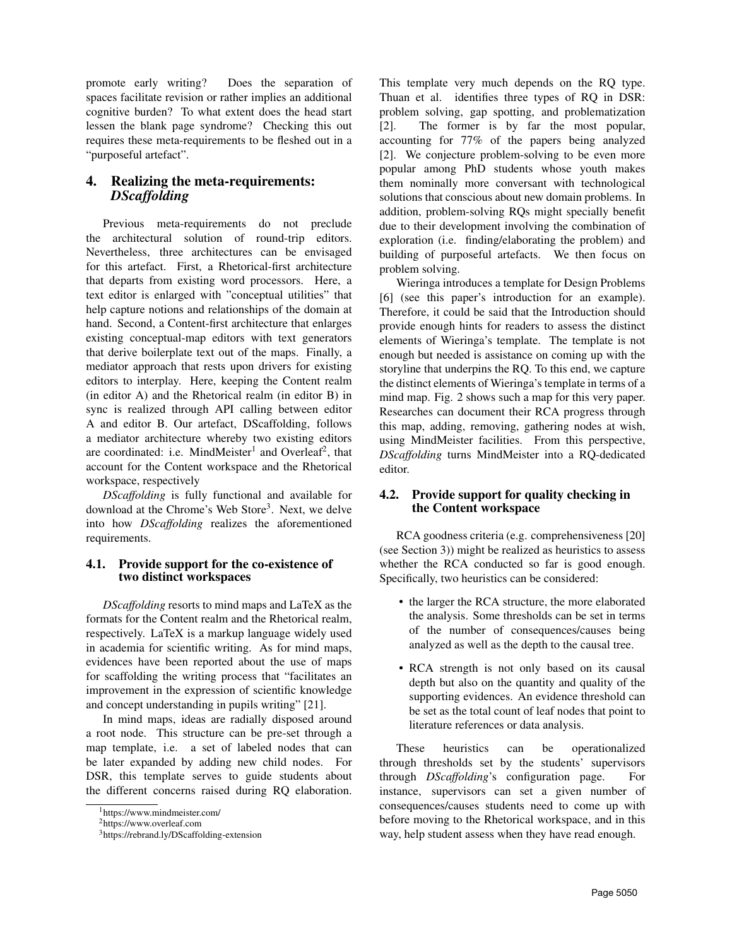promote early writing? Does the separation of spaces facilitate revision or rather implies an additional cognitive burden? To what extent does the head start lessen the blank page syndrome? Checking this out requires these meta-requirements to be fleshed out in a "purposeful artefact".

# 4. Realizing the meta-requirements: *DScaffolding*

Previous meta-requirements do not preclude the architectural solution of round-trip editors. Nevertheless, three architectures can be envisaged for this artefact. First, a Rhetorical-first architecture that departs from existing word processors. Here, a text editor is enlarged with "conceptual utilities" that help capture notions and relationships of the domain at hand. Second, a Content-first architecture that enlarges existing conceptual-map editors with text generators that derive boilerplate text out of the maps. Finally, a mediator approach that rests upon drivers for existing editors to interplay. Here, keeping the Content realm (in editor A) and the Rhetorical realm (in editor B) in sync is realized through API calling between editor A and editor B. Our artefact, DScaffolding, follows a mediator architecture whereby two existing editors are coordinated: i.e. MindMeister<sup>1</sup> and Overleaf<sup>2</sup>, that account for the Content workspace and the Rhetorical workspace, respectively

*DScaffolding* is fully functional and available for download at the Chrome's Web Store<sup>3</sup>. Next, we delve into how *DScaffolding* realizes the aforementioned requirements.

### 4.1. Provide support for the co-existence of two distinct workspaces

*DScaffolding* resorts to mind maps and LaTeX as the formats for the Content realm and the Rhetorical realm, respectively. LaTeX is a markup language widely used in academia for scientific writing. As for mind maps, evidences have been reported about the use of maps for scaffolding the writing process that "facilitates an improvement in the expression of scientific knowledge and concept understanding in pupils writing" [21].

In mind maps, ideas are radially disposed around a root node. This structure can be pre-set through a map template, i.e. a set of labeled nodes that can be later expanded by adding new child nodes. For DSR, this template serves to guide students about the different concerns raised during RQ elaboration.

This template very much depends on the RQ type. Thuan et al. identifies three types of RQ in DSR: problem solving, gap spotting, and problematization [2]. The former is by far the most popular, accounting for 77% of the papers being analyzed [2]. We conjecture problem-solving to be even more popular among PhD students whose youth makes them nominally more conversant with technological solutions that conscious about new domain problems. In addition, problem-solving RQs might specially benefit due to their development involving the combination of exploration (i.e. finding/elaborating the problem) and building of purposeful artefacts. We then focus on problem solving.

Wieringa introduces a template for Design Problems [6] (see this paper's introduction for an example). Therefore, it could be said that the Introduction should provide enough hints for readers to assess the distinct elements of Wieringa's template. The template is not enough but needed is assistance on coming up with the storyline that underpins the RQ. To this end, we capture the distinct elements of Wieringa's template in terms of a mind map. Fig. 2 shows such a map for this very paper. Researches can document their RCA progress through this map, adding, removing, gathering nodes at wish, using MindMeister facilities. From this perspective, *DScaffolding* turns MindMeister into a RQ-dedicated editor.

#### 4.2. Provide support for quality checking in the Content workspace

RCA goodness criteria (e.g. comprehensiveness [20] (see Section 3)) might be realized as heuristics to assess whether the RCA conducted so far is good enough. Specifically, two heuristics can be considered:

- the larger the RCA structure, the more elaborated the analysis. Some thresholds can be set in terms of the number of consequences/causes being analyzed as well as the depth to the causal tree.
- RCA strength is not only based on its causal depth but also on the quantity and quality of the supporting evidences. An evidence threshold can be set as the total count of leaf nodes that point to literature references or data analysis.

These heuristics can be operationalized through thresholds set by the students' supervisors through *DScaffolding*'s configuration page. For instance, supervisors can set a given number of consequences/causes students need to come up with before moving to the Rhetorical workspace, and in this way, help student assess when they have read enough.

<sup>1</sup>https://www.mindmeister.com/

<sup>2</sup>https://www.overleaf.com

<sup>3</sup>https://rebrand.ly/DScaffolding-extension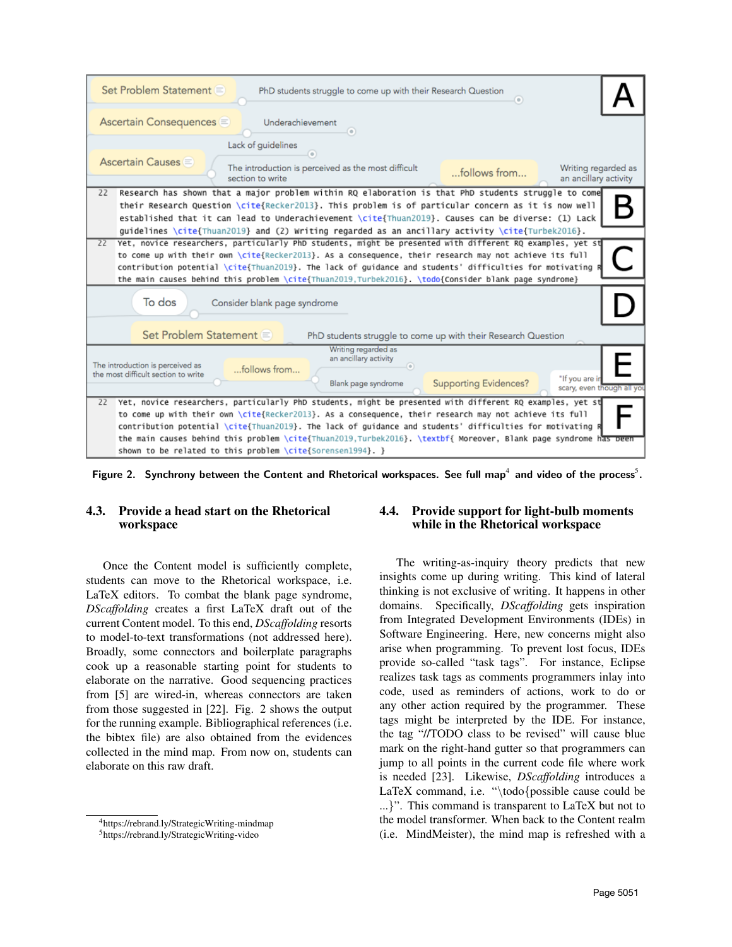

Figure 2. Synchrony between the Content and Rhetorical workspaces. See full map<sup>4</sup> and video of the process<sup>5</sup>.

# 4.3. Provide a head start on the Rhetorical workspace

Once the Content model is sufficiently complete, students can move to the Rhetorical workspace, i.e. LaTeX editors. To combat the blank page syndrome, *DScaffolding* creates a first LaTeX draft out of the current Content model. To this end, *DScaffolding* resorts to model-to-text transformations (not addressed here). Broadly, some connectors and boilerplate paragraphs cook up a reasonable starting point for students to elaborate on the narrative. Good sequencing practices from [5] are wired-in, whereas connectors are taken from those suggested in [22]. Fig. 2 shows the output for the running example. Bibliographical references (i.e. the bibtex file) are also obtained from the evidences collected in the mind map. From now on, students can elaborate on this raw draft.

# 4.4. Provide support for light-bulb moments while in the Rhetorical workspace

The writing-as-inquiry theory predicts that new insights come up during writing. This kind of lateral thinking is not exclusive of writing. It happens in other domains. Specifically, *DScaffolding* gets inspiration from Integrated Development Environments (IDEs) in Software Engineering. Here, new concerns might also arise when programming. To prevent lost focus, IDEs provide so-called "task tags". For instance, Eclipse realizes task tags as comments programmers inlay into code, used as reminders of actions, work to do or any other action required by the programmer. These tags might be interpreted by the IDE. For instance, the tag "//TODO class to be revised" will cause blue mark on the right-hand gutter so that programmers can jump to all points in the current code file where work is needed [23]. Likewise, *DScaffolding* introduces a LaTeX command, i.e. "\todo{possible cause could be ...}". This command is transparent to LaTeX but not to the model transformer. When back to the Content realm (i.e. MindMeister), the mind map is refreshed with a

<sup>4</sup>https://rebrand.ly/StrategicWriting-mindmap

<sup>5</sup>https://rebrand.ly/StrategicWriting-video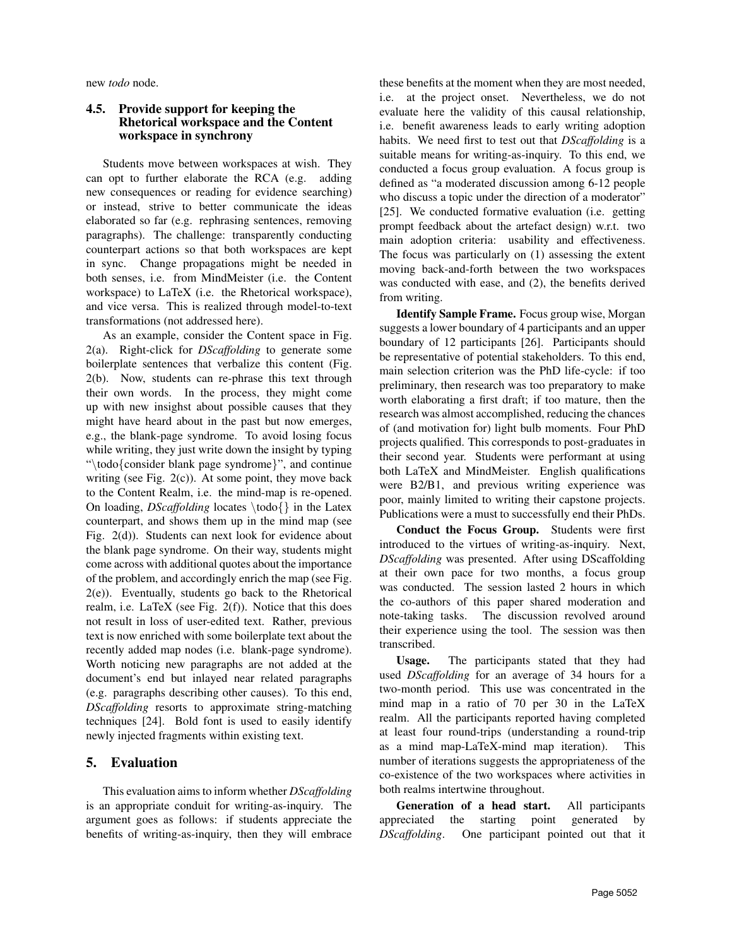new *todo* node.

### 4.5. Provide support for keeping the Rhetorical workspace and the Content workspace in synchrony

Students move between workspaces at wish. They can opt to further elaborate the RCA (e.g. adding new consequences or reading for evidence searching) or instead, strive to better communicate the ideas elaborated so far (e.g. rephrasing sentences, removing paragraphs). The challenge: transparently conducting counterpart actions so that both workspaces are kept in sync. Change propagations might be needed in both senses, i.e. from MindMeister (i.e. the Content workspace) to LaTeX (i.e. the Rhetorical workspace), and vice versa. This is realized through model-to-text transformations (not addressed here).

As an example, consider the Content space in Fig. 2(a). Right-click for *DScaffolding* to generate some boilerplate sentences that verbalize this content (Fig. 2(b). Now, students can re-phrase this text through their own words. In the process, they might come up with new insighst about possible causes that they might have heard about in the past but now emerges, e.g., the blank-page syndrome. To avoid losing focus while writing, they just write down the insight by typing "\todo{consider blank page syndrome}", and continue writing (see Fig. 2(c)). At some point, they move back to the Content Realm, i.e. the mind-map is re-opened. On loading, *DScaffolding* locates \todo{} in the Latex counterpart, and shows them up in the mind map (see Fig. 2(d)). Students can next look for evidence about the blank page syndrome. On their way, students might come across with additional quotes about the importance of the problem, and accordingly enrich the map (see Fig. 2(e)). Eventually, students go back to the Rhetorical realm, i.e. LaTeX (see Fig. 2(f)). Notice that this does not result in loss of user-edited text. Rather, previous text is now enriched with some boilerplate text about the recently added map nodes (i.e. blank-page syndrome). Worth noticing new paragraphs are not added at the document's end but inlayed near related paragraphs (e.g. paragraphs describing other causes). To this end, *DScaffolding* resorts to approximate string-matching techniques [24]. Bold font is used to easily identify newly injected fragments within existing text.

# 5. Evaluation

This evaluation aims to inform whether *DScaffolding* is an appropriate conduit for writing-as-inquiry. The argument goes as follows: if students appreciate the benefits of writing-as-inquiry, then they will embrace

these benefits at the moment when they are most needed, i.e. at the project onset. Nevertheless, we do not evaluate here the validity of this causal relationship, i.e. benefit awareness leads to early writing adoption habits. We need first to test out that *DScaffolding* is a suitable means for writing-as-inquiry. To this end, we conducted a focus group evaluation. A focus group is defined as "a moderated discussion among 6-12 people who discuss a topic under the direction of a moderator" [25]. We conducted formative evaluation (i.e. getting prompt feedback about the artefact design) w.r.t. two main adoption criteria: usability and effectiveness. The focus was particularly on (1) assessing the extent moving back-and-forth between the two workspaces was conducted with ease, and (2), the benefits derived from writing.

Identify Sample Frame. Focus group wise, Morgan suggests a lower boundary of 4 participants and an upper boundary of 12 participants [26]. Participants should be representative of potential stakeholders. To this end, main selection criterion was the PhD life-cycle: if too preliminary, then research was too preparatory to make worth elaborating a first draft; if too mature, then the research was almost accomplished, reducing the chances of (and motivation for) light bulb moments. Four PhD projects qualified. This corresponds to post-graduates in their second year. Students were performant at using both LaTeX and MindMeister. English qualifications were B2/B1, and previous writing experience was poor, mainly limited to writing their capstone projects. Publications were a must to successfully end their PhDs.

Conduct the Focus Group. Students were first introduced to the virtues of writing-as-inquiry. Next, *DScaffolding* was presented. After using DScaffolding at their own pace for two months, a focus group was conducted. The session lasted 2 hours in which the co-authors of this paper shared moderation and note-taking tasks. The discussion revolved around their experience using the tool. The session was then transcribed.

Usage. The participants stated that they had used *DScaffolding* for an average of 34 hours for a two-month period. This use was concentrated in the mind map in a ratio of 70 per 30 in the LaTeX realm. All the participants reported having completed at least four round-trips (understanding a round-trip as a mind map-LaTeX-mind map iteration). This number of iterations suggests the appropriateness of the co-existence of the two workspaces where activities in both realms intertwine throughout.

Generation of a head start. All participants appreciated the starting point generated by *DScaffolding*. One participant pointed out that it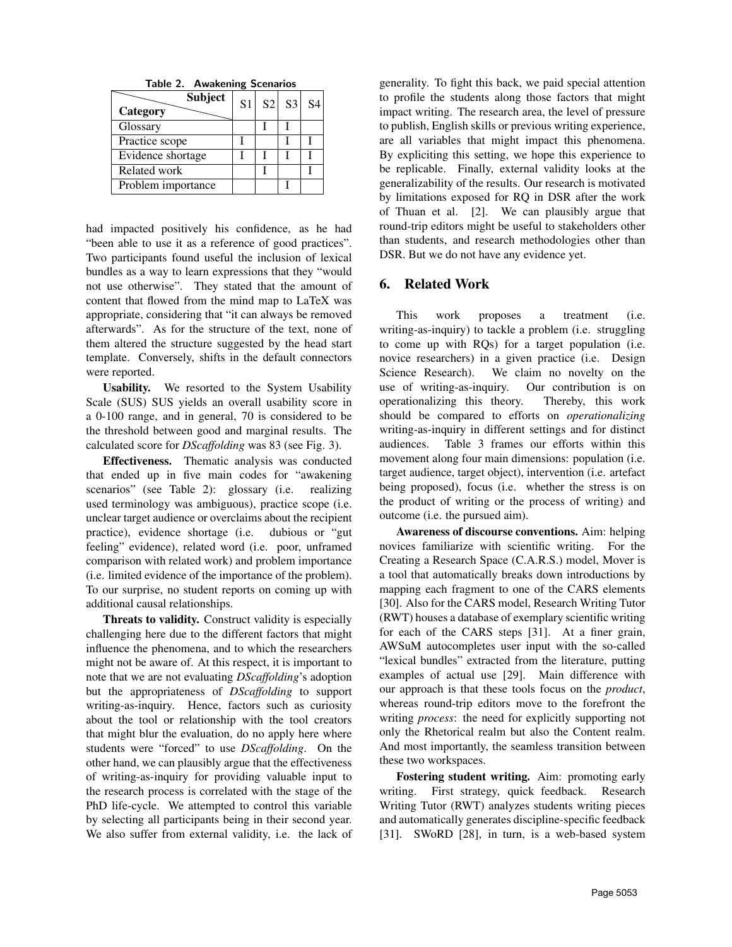|  | <b>Table 2. Awakening Scenarios</b> |  |
|--|-------------------------------------|--|
|--|-------------------------------------|--|

| <b>Subject</b><br>Category | S <sub>1</sub> | S2 S3 | <b>S4</b> |
|----------------------------|----------------|-------|-----------|
| Glossary                   |                |       |           |
| Practice scope             |                |       |           |
| Evidence shortage          |                |       |           |
| Related work               |                |       |           |
| Problem importance         |                |       |           |

had impacted positively his confidence, as he had "been able to use it as a reference of good practices". Two participants found useful the inclusion of lexical bundles as a way to learn expressions that they "would not use otherwise". They stated that the amount of content that flowed from the mind map to LaTeX was appropriate, considering that "it can always be removed afterwards". As for the structure of the text, none of them altered the structure suggested by the head start template. Conversely, shifts in the default connectors were reported.

Usability. We resorted to the System Usability Scale (SUS) SUS yields an overall usability score in a 0-100 range, and in general, 70 is considered to be the threshold between good and marginal results. The calculated score for *DScaffolding* was 83 (see Fig. 3).

Effectiveness. Thematic analysis was conducted that ended up in five main codes for "awakening scenarios" (see Table 2): glossary (i.e. realizing used terminology was ambiguous), practice scope (i.e. unclear target audience or overclaims about the recipient practice), evidence shortage (i.e. dubious or "gut feeling" evidence), related word (i.e. poor, unframed comparison with related work) and problem importance (i.e. limited evidence of the importance of the problem). To our surprise, no student reports on coming up with additional causal relationships.

Threats to validity. Construct validity is especially challenging here due to the different factors that might influence the phenomena, and to which the researchers might not be aware of. At this respect, it is important to note that we are not evaluating *DScaffolding*'s adoption but the appropriateness of *DScaffolding* to support writing-as-inquiry. Hence, factors such as curiosity about the tool or relationship with the tool creators that might blur the evaluation, do no apply here where students were "forced" to use *DScaffolding*. On the other hand, we can plausibly argue that the effectiveness of writing-as-inquiry for providing valuable input to the research process is correlated with the stage of the PhD life-cycle. We attempted to control this variable by selecting all participants being in their second year. We also suffer from external validity, i.e. the lack of generality. To fight this back, we paid special attention to profile the students along those factors that might impact writing. The research area, the level of pressure to publish, English skills or previous writing experience, are all variables that might impact this phenomena. By expliciting this setting, we hope this experience to be replicable. Finally, external validity looks at the generalizability of the results. Our research is motivated by limitations exposed for RQ in DSR after the work of Thuan et al. [2]. We can plausibly argue that round-trip editors might be useful to stakeholders other than students, and research methodologies other than DSR. But we do not have any evidence yet.

#### 6. Related Work

This work proposes a treatment (i.e. writing-as-inquiry) to tackle a problem (i.e. struggling to come up with RQs) for a target population (i.e. novice researchers) in a given practice (i.e. Design Science Research). We claim no novelty on the use of writing-as-inquiry. Our contribution is on operationalizing this theory. Thereby, this work should be compared to efforts on *operationalizing* writing-as-inquiry in different settings and for distinct audiences. Table 3 frames our efforts within this movement along four main dimensions: population (i.e. target audience, target object), intervention (i.e. artefact being proposed), focus (i.e. whether the stress is on the product of writing or the process of writing) and outcome (i.e. the pursued aim).

Awareness of discourse conventions. Aim: helping novices familiarize with scientific writing. For the Creating a Research Space (C.A.R.S.) model, Mover is a tool that automatically breaks down introductions by mapping each fragment to one of the CARS elements [30]. Also for the CARS model, Research Writing Tutor (RWT) houses a database of exemplary scientific writing for each of the CARS steps [31]. At a finer grain, AWSuM autocompletes user input with the so-called "lexical bundles" extracted from the literature, putting examples of actual use [29]. Main difference with our approach is that these tools focus on the *product*, whereas round-trip editors move to the forefront the writing *process*: the need for explicitly supporting not only the Rhetorical realm but also the Content realm. And most importantly, the seamless transition between these two workspaces.

Fostering student writing. Aim: promoting early writing. First strategy, quick feedback. Research Writing Tutor (RWT) analyzes students writing pieces and automatically generates discipline-specific feedback [31]. SWoRD [28], in turn, is a web-based system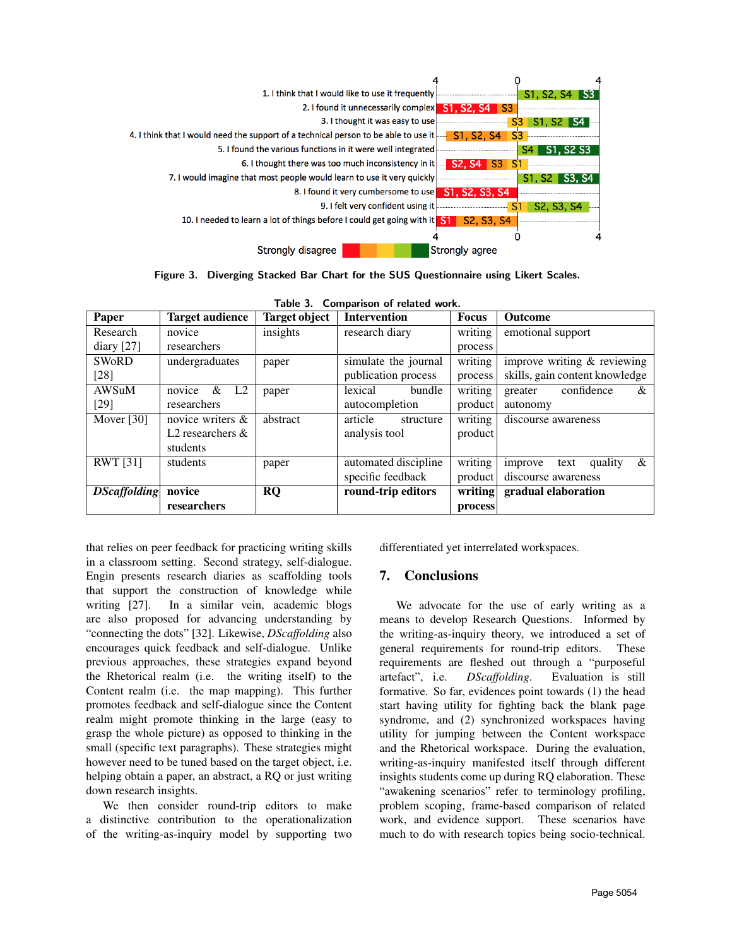

Figure 3. Diverging Stacked Bar Chart for the SUS Questionnaire using Likert Scales.

| Paper               | <b>Target audience</b>           | <b>Target object</b> | rable J. Companison or related work.<br><b>Intervention</b> | <b>Focus</b> | <b>Outcome</b>                     |
|---------------------|----------------------------------|----------------------|-------------------------------------------------------------|--------------|------------------------------------|
| Research            | novice                           | insights             | research diary                                              | writing      | emotional support                  |
| diary $[27]$        | researchers                      |                      |                                                             | process      |                                    |
| <b>SWORD</b>        | undergraduates                   | paper                | simulate the journal                                        | writing      | improve writing $&$ reviewing      |
| $[28]$              |                                  |                      | publication process                                         | process      | skills, gain content knowledge     |
| AWSuM               | $\&$<br>L <sub>2</sub><br>novice | paper                | lexical<br>bundle                                           | writing      | confidence<br>&<br>greater         |
| $[29]$              | researchers                      |                      | autocompletion                                              | product      | autonomy                           |
| Mover $[30]$        | novice writers &                 | abstract             | article<br>structure                                        | writing      | discourse awareness                |
|                     | L <sub>2</sub> researchers $\&$  |                      | analysis tool                                               | product      |                                    |
|                     | students                         |                      |                                                             |              |                                    |
| <b>RWT</b> [31]     | students                         | paper                | automated discipline                                        | writing      | $\&$<br>quality<br>improve<br>text |
|                     |                                  |                      | specific feedback                                           | product      | discourse awareness                |
| <b>DScaffolding</b> | novice                           | <b>RQ</b>            | round-trip editors                                          | writing      | gradual elaboration                |
|                     | researchers                      |                      |                                                             | process      |                                    |

Table 3. Comparison of related work.

that relies on peer feedback for practicing writing skills in a classroom setting. Second strategy, self-dialogue. Engin presents research diaries as scaffolding tools that support the construction of knowledge while writing [27]. In a similar vein, academic blogs are also proposed for advancing understanding by "connecting the dots" [32]. Likewise, *DScaffolding* also encourages quick feedback and self-dialogue. Unlike previous approaches, these strategies expand beyond the Rhetorical realm (i.e. the writing itself) to the Content realm (i.e. the map mapping). This further promotes feedback and self-dialogue since the Content realm might promote thinking in the large (easy to grasp the whole picture) as opposed to thinking in the small (specific text paragraphs). These strategies might however need to be tuned based on the target object, i.e. helping obtain a paper, an abstract, a RQ or just writing down research insights.

We then consider round-trip editors to make a distinctive contribution to the operationalization of the writing-as-inquiry model by supporting two differentiated yet interrelated workspaces.

# 7. Conclusions

We advocate for the use of early writing as a means to develop Research Questions. Informed by the writing-as-inquiry theory, we introduced a set of general requirements for round-trip editors. These requirements are fleshed out through a "purposeful artefact", i.e. *DScaffolding*. Evaluation is still formative. So far, evidences point towards (1) the head start having utility for fighting back the blank page syndrome, and (2) synchronized workspaces having utility for jumping between the Content workspace and the Rhetorical workspace. During the evaluation, writing-as-inquiry manifested itself through different insights students come up during RQ elaboration. These "awakening scenarios" refer to terminology profiling, problem scoping, frame-based comparison of related work, and evidence support. These scenarios have much to do with research topics being socio-technical.